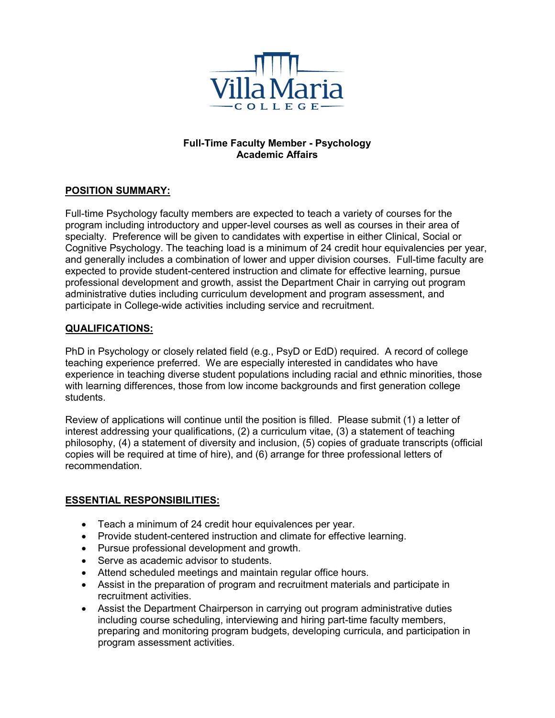

## **Full-Time Faculty Member - Psychology Academic Affairs**

# **POSITION SUMMARY:**

Full-time Psychology faculty members are expected to teach a variety of courses for the program including introductory and upper-level courses as well as courses in their area of specialty. Preference will be given to candidates with expertise in either Clinical, Social or Cognitive Psychology. The teaching load is a minimum of 24 credit hour equivalencies per year, and generally includes a combination of lower and upper division courses. Full-time faculty are expected to provide student-centered instruction and climate for effective learning, pursue professional development and growth, assist the Department Chair in carrying out program administrative duties including curriculum development and program assessment, and participate in College-wide activities including service and recruitment.

### **QUALIFICATIONS:**

PhD in Psychology or closely related field (e.g., PsyD or EdD) required. A record of college teaching experience preferred. We are especially interested in candidates who have experience in teaching diverse student populations including racial and ethnic minorities, those with learning differences, those from low income backgrounds and first generation college students.

Review of applications will continue until the position is filled. Please submit (1) a letter of interest addressing your qualifications, (2) a curriculum vitae, (3) a statement of teaching philosophy, (4) a statement of diversity and inclusion, (5) copies of graduate transcripts (official copies will be required at time of hire), and (6) arrange for three professional letters of recommendation.

### **ESSENTIAL RESPONSIBILITIES:**

- Teach a minimum of 24 credit hour equivalences per year.
- Provide student-centered instruction and climate for effective learning.
- Pursue professional development and growth.
- Serve as academic advisor to students.
- Attend scheduled meetings and maintain regular office hours.
- Assist in the preparation of program and recruitment materials and participate in recruitment activities.
- Assist the Department Chairperson in carrying out program administrative duties including course scheduling, interviewing and hiring part-time faculty members, preparing and monitoring program budgets, developing curricula, and participation in program assessment activities.